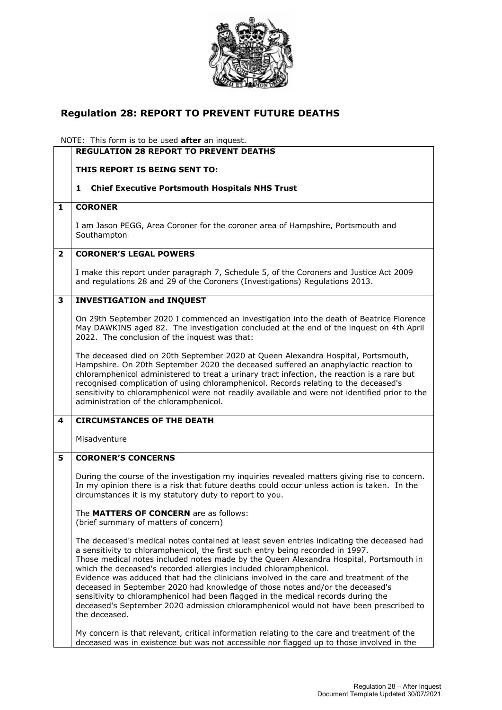

## **Regulation 28: REPORT TO PREVENT FUTURE DEATHS**

NOTE: This form is to be used **after** an inquest.

|                | <b>REGULATION 28 REPORT TO PREVENT DEATHS</b>                                                                                                                                                                                                                                                                                                                                                                                                                                                                                                                                                                                                                                                                        |
|----------------|----------------------------------------------------------------------------------------------------------------------------------------------------------------------------------------------------------------------------------------------------------------------------------------------------------------------------------------------------------------------------------------------------------------------------------------------------------------------------------------------------------------------------------------------------------------------------------------------------------------------------------------------------------------------------------------------------------------------|
|                | THIS REPORT IS BEING SENT TO:                                                                                                                                                                                                                                                                                                                                                                                                                                                                                                                                                                                                                                                                                        |
|                | <b>Chief Executive Portsmouth Hospitals NHS Trust</b><br>1                                                                                                                                                                                                                                                                                                                                                                                                                                                                                                                                                                                                                                                           |
| 1              | <b>CORONER</b>                                                                                                                                                                                                                                                                                                                                                                                                                                                                                                                                                                                                                                                                                                       |
|                | I am Jason PEGG, Area Coroner for the coroner area of Hampshire, Portsmouth and<br>Southampton                                                                                                                                                                                                                                                                                                                                                                                                                                                                                                                                                                                                                       |
| $\overline{2}$ | <b>CORONER'S LEGAL POWERS</b>                                                                                                                                                                                                                                                                                                                                                                                                                                                                                                                                                                                                                                                                                        |
|                | I make this report under paragraph 7, Schedule 5, of the Coroners and Justice Act 2009<br>and regulations 28 and 29 of the Coroners (Investigations) Regulations 2013.                                                                                                                                                                                                                                                                                                                                                                                                                                                                                                                                               |
| 3              | <b>INVESTIGATION and INQUEST</b>                                                                                                                                                                                                                                                                                                                                                                                                                                                                                                                                                                                                                                                                                     |
|                | On 29th September 2020 I commenced an investigation into the death of Beatrice Florence<br>May DAWKINS aged 82. The investigation concluded at the end of the inquest on 4th April<br>2022. The conclusion of the inquest was that:                                                                                                                                                                                                                                                                                                                                                                                                                                                                                  |
|                | The deceased died on 20th September 2020 at Queen Alexandra Hospital, Portsmouth,<br>Hampshire. On 20th September 2020 the deceased suffered an anaphylactic reaction to<br>chloramphenicol administered to treat a urinary tract infection, the reaction is a rare but<br>recognised complication of using chloramphenicol. Records relating to the deceased's<br>sensitivity to chloramphenicol were not readily available and were not identified prior to the<br>administration of the chloramphenicol.                                                                                                                                                                                                          |
| 4              | <b>CIRCUMSTANCES OF THE DEATH</b>                                                                                                                                                                                                                                                                                                                                                                                                                                                                                                                                                                                                                                                                                    |
|                | Misadventure                                                                                                                                                                                                                                                                                                                                                                                                                                                                                                                                                                                                                                                                                                         |
| 5              | <b>CORONER'S CONCERNS</b>                                                                                                                                                                                                                                                                                                                                                                                                                                                                                                                                                                                                                                                                                            |
|                | During the course of the investigation my inquiries revealed matters giving rise to concern.<br>In my opinion there is a risk that future deaths could occur unless action is taken. In the<br>circumstances it is my statutory duty to report to you.                                                                                                                                                                                                                                                                                                                                                                                                                                                               |
|                | The MATTERS OF CONCERN are as follows:<br>(brief summary of matters of concern)                                                                                                                                                                                                                                                                                                                                                                                                                                                                                                                                                                                                                                      |
|                | The deceased's medical notes contained at least seven entries indicating the deceased had<br>a sensitivity to chloramphenicol, the first such entry being recorded in 1997.<br>Those medical notes included notes made by the Queen Alexandra Hospital, Portsmouth in<br>which the deceased's recorded allergies included chloramphenicol.<br>Evidence was adduced that had the clinicians involved in the care and treatment of the<br>deceased in September 2020 had knowledge of those notes and/or the deceased's<br>sensitivity to chloramphenicol had been flagged in the medical records during the<br>deceased's September 2020 admission chloramphenicol would not have been prescribed to<br>the deceased. |
|                | My concern is that relevant, critical information relating to the care and treatment of the<br>deceased was in existence but was not accessible nor flagged up to those involved in the                                                                                                                                                                                                                                                                                                                                                                                                                                                                                                                              |